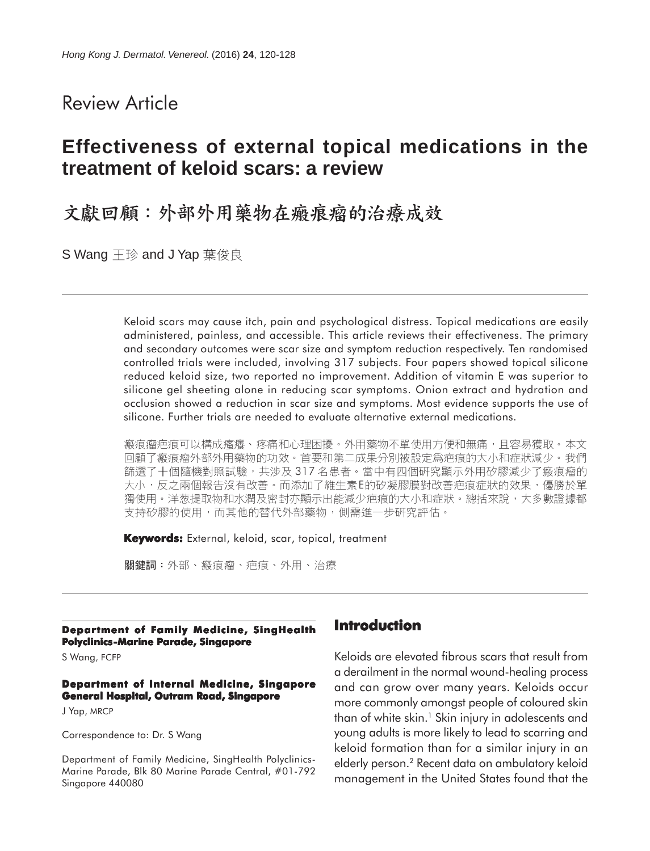# Review Article

# **Effectiveness of external topical medications in the treatment of keloid scars: a review**

# 文獻回顧:外部外用藥物在瘢痕瘤的治療成效

S Wang 王珍 and J Yap 葉俊良

Keloid scars may cause itch, pain and psychological distress. Topical medications are easily administered, painless, and accessible. This article reviews their effectiveness. The primary and secondary outcomes were scar size and symptom reduction respectively. Ten randomised controlled trials were included, involving 317 subjects. Four papers showed topical silicone reduced keloid size, two reported no improvement. Addition of vitamin E was superior to silicone gel sheeting alone in reducing scar symptoms. Onion extract and hydration and occlusion showed a reduction in scar size and symptoms. Most evidence supports the use of silicone. Further trials are needed to evaluate alternative external medications.

瘢痕瘤疤痕可以構成瘙癢、疼痛和心理困擾。外用藥物不單使用方便和無痛,且容易獲取。本文 回顧了瘢痕瘤外部外用藥物的功效。首要和第二成果分別被設定爲疤痕的大小和症狀減少。我們 篩選了十個隨機對照試驗,共涉及 317 名患者。當中有四個研究顯示外用矽膠減少了瘢痕瘤的 大小,反之兩個報告沒有改善。而添加了維生素E的矽凝膠膜對改善疤痕症狀的效果,優勝於單 獨使用。洋葱提取物和水潤及密封亦顯示出能減少疤痕的大小和症狀。總括來說,大多數證據都 支持矽膠的使用,而其他的替代外部藥物,側需進一步研究評估。

**Keywords:** External, keloid, scar, topical, treatment

關鍵詞:外部、瘢痕瘤、疤痕、外用、治療

#### **Department of Family Medicine, SingHealth Polyclinics-Marine Parade, Singapore**

S Wang, FCFP

#### **Department of Internal Medicine, Singapore General Hospital, Outram Road, Singapore**

J Yap, MRCP

Correspondence to: Dr. S Wang

Department of Family Medicine, SingHealth Polyclinics-Marine Parade, Blk 80 Marine Parade Central, #01-792 Singapore 440080

## **Introduction**

Keloids are elevated fibrous scars that result from a derailment in the normal wound-healing process and can grow over many years. Keloids occur more commonly amongst people of coloured skin than of white skin.<sup>1</sup> Skin injury in adolescents and young adults is more likely to lead to scarring and keloid formation than for a similar injury in an elderly person.2 Recent data on ambulatory keloid management in the United States found that the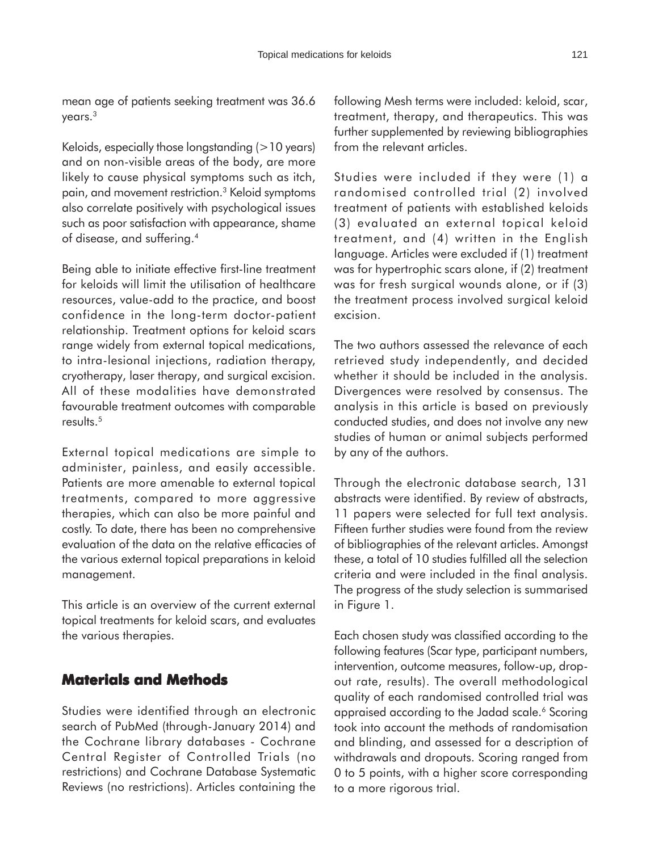mean age of patients seeking treatment was 36.6 years.3

Keloids, especially those longstanding (>10 years) and on non-visible areas of the body, are more likely to cause physical symptoms such as itch, pain, and movement restriction.3 Keloid symptoms also correlate positively with psychological issues such as poor satisfaction with appearance, shame of disease, and suffering.4

Being able to initiate effective first-line treatment for keloids will limit the utilisation of healthcare resources, value-add to the practice, and boost confidence in the long-term doctor-patient relationship. Treatment options for keloid scars range widely from external topical medications, to intra-lesional injections, radiation therapy, cryotherapy, laser therapy, and surgical excision. All of these modalities have demonstrated favourable treatment outcomes with comparable results.<sup>5</sup>

External topical medications are simple to administer, painless, and easily accessible. Patients are more amenable to external topical treatments, compared to more aggressive therapies, which can also be more painful and costly. To date, there has been no comprehensive evaluation of the data on the relative efficacies of the various external topical preparations in keloid management.

This article is an overview of the current external topical treatments for keloid scars, and evaluates the various therapies.

### **Materials and Methods**

Studies were identified through an electronic search of PubMed (through-January 2014) and the Cochrane library databases - Cochrane Central Register of Controlled Trials (no restrictions) and Cochrane Database Systematic Reviews (no restrictions). Articles containing the

following Mesh terms were included: keloid, scar, treatment, therapy, and therapeutics. This was further supplemented by reviewing bibliographies from the relevant articles.

Studies were included if they were (1) a randomised controlled trial (2) involved treatment of patients with established keloids (3) evaluated an external topical keloid treatment, and (4) written in the English language. Articles were excluded if (1) treatment was for hypertrophic scars alone, if (2) treatment was for fresh surgical wounds alone, or if (3) the treatment process involved surgical keloid excision.

The two authors assessed the relevance of each retrieved study independently, and decided whether it should be included in the analysis. Divergences were resolved by consensus. The analysis in this article is based on previously conducted studies, and does not involve any new studies of human or animal subjects performed by any of the authors.

Through the electronic database search, 131 abstracts were identified. By review of abstracts, 11 papers were selected for full text analysis. Fifteen further studies were found from the review of bibliographies of the relevant articles. Amongst these, a total of 10 studies fulfilled all the selection criteria and were included in the final analysis. The progress of the study selection is summarised in Figure 1.

Each chosen study was classified according to the following features (Scar type, participant numbers, intervention, outcome measures, follow-up, dropout rate, results). The overall methodological quality of each randomised controlled trial was appraised according to the Jadad scale.<sup>6</sup> Scoring took into account the methods of randomisation and blinding, and assessed for a description of withdrawals and dropouts. Scoring ranged from 0 to 5 points, with a higher score corresponding to a more rigorous trial.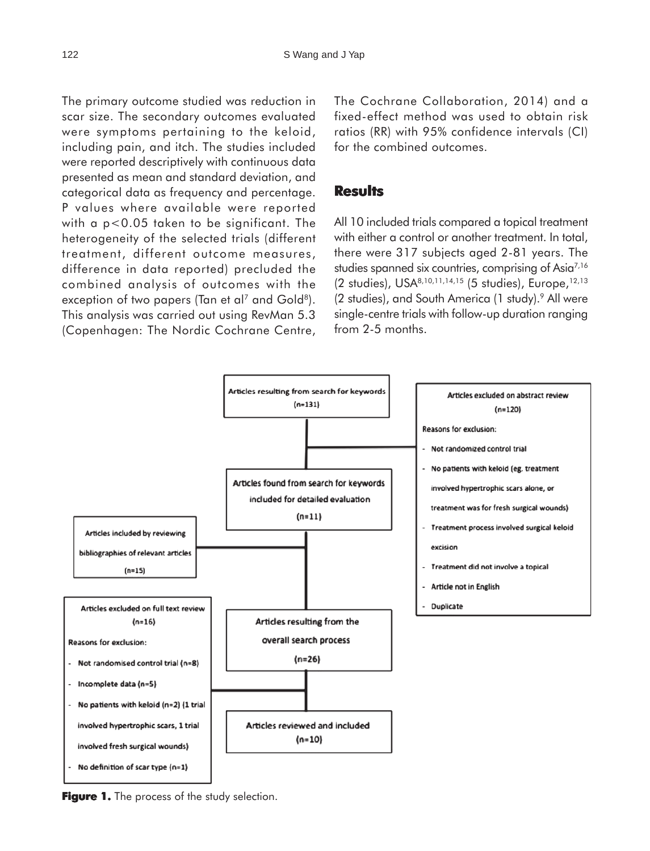The primary outcome studied was reduction in scar size. The secondary outcomes evaluated were symptoms pertaining to the keloid, including pain, and itch. The studies included were reported descriptively with continuous data presented as mean and standard deviation, and categorical data as frequency and percentage. P values where available were reported with a p<0.05 taken to be significant. The heterogeneity of the selected trials (different treatment, different outcome measures, difference in data reported) precluded the combined analysis of outcomes with the exception of two papers (Tan et al<sup>7</sup> and Gold<sup>8</sup>). This analysis was carried out using RevMan 5.3 (Copenhagen: The Nordic Cochrane Centre,

The Cochrane Collaboration, 2014) and a fixed-effect method was used to obtain risk ratios (RR) with 95% confidence intervals (CI) for the combined outcomes.

#### **Results**

All 10 included trials compared a topical treatment with either a control or another treatment. In total, there were 317 subjects aged 2-81 years. The studies spanned six countries, comprising of Asia<sup>7,16</sup> (2 studies), USA<sup>8,10,11,14,15</sup> (5 studies), Europe,<sup>12,13</sup> (2 studies), and South America (1 study).<sup>9</sup> All were single-centre trials with follow-up duration ranging from 2-5 months.



**Figure 1.** The process of the study selection.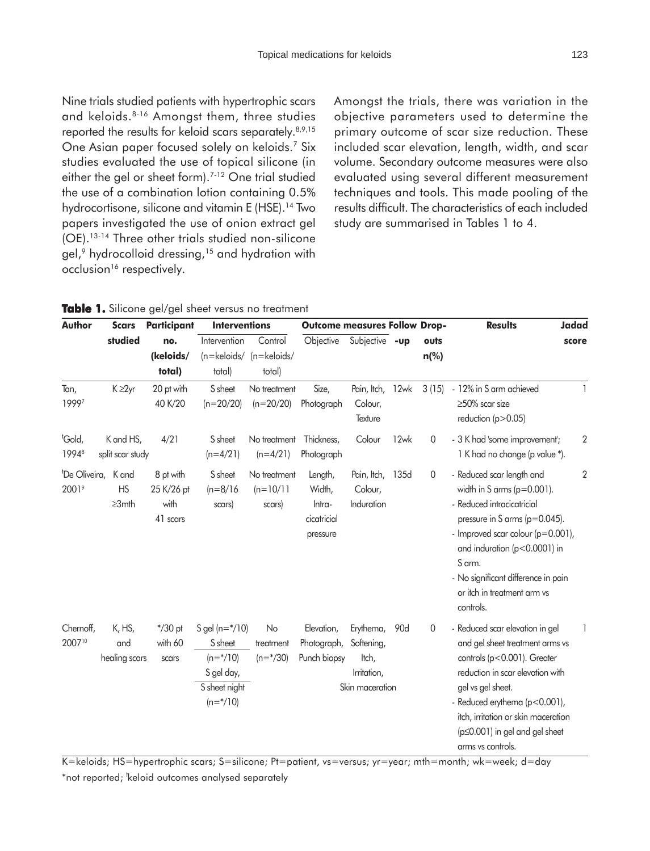Nine trials studied patients with hypertrophic scars and keloids.8-16 Amongst them, three studies reported the results for keloid scars separately.<sup>8,9,15</sup> One Asian paper focused solely on keloids.7 Six studies evaluated the use of topical silicone (in either the gel or sheet form).<sup>7-12</sup> One trial studied the use of a combination lotion containing 0.5% hydrocortisone, silicone and vitamin E (HSE).<sup>14</sup> Two papers investigated the use of onion extract gel (OE).13-14 Three other trials studied non-silicone gel,<sup>9</sup> hydrocolloid dressing,<sup>15</sup> and hydration with occlusion<sup>16</sup> respectively.

Amongst the trials, there was variation in the objective parameters used to determine the primary outcome of scar size reduction. These included scar elevation, length, width, and scar volume. Secondary outcome measures were also evaluated using several different measurement techniques and tools. This made pooling of the results difficult. The characteristics of each included study are summarised in Tables 1 to 4.

|  |  |  |  |  |  |  | Table 1. Silicone gel/gel sheet versus no treatment |
|--|--|--|--|--|--|--|-----------------------------------------------------|
|--|--|--|--|--|--|--|-----------------------------------------------------|

| <b>Author</b>                                  | <b>Scars</b>                       | Participant                                 | <b>Interventions</b>                                                                                               |                                       | <b>Outcome measures Follow Drop-</b>                   |                                                                    |      |                | <b>Results</b>                                                                                                                                                                                                                                                                               | <b>Jadad</b>   |
|------------------------------------------------|------------------------------------|---------------------------------------------|--------------------------------------------------------------------------------------------------------------------|---------------------------------------|--------------------------------------------------------|--------------------------------------------------------------------|------|----------------|----------------------------------------------------------------------------------------------------------------------------------------------------------------------------------------------------------------------------------------------------------------------------------------------|----------------|
|                                                | studied                            | no.                                         | Intervention                                                                                                       | Control                               | Objective                                              | Subjective -up                                                     |      | outs           |                                                                                                                                                                                                                                                                                              | score          |
|                                                |                                    | (keloids/                                   |                                                                                                                    | $(n=$ keloids/ $(n=$ keloids/         |                                                        |                                                                    |      | $n$ (%)        |                                                                                                                                                                                                                                                                                              |                |
|                                                |                                    | total)                                      | total)                                                                                                             | total)                                |                                                        |                                                                    |      |                |                                                                                                                                                                                                                                                                                              |                |
| Tan,<br>19997                                  | K ≥2yr                             | 20 pt with<br>40 K/20                       | S sheet<br>$(n=20/20)$                                                                                             | No treatment<br>$(n=20/20)$           | Size,<br>Photograph                                    | Pain, Itch,<br>Colour,<br>Texture                                  | 12wk | 3(15)          | - 12% in S arm achieved<br>$\geq$ 50% scar size<br>reduction ( $p > 0.05$ )                                                                                                                                                                                                                  | 1              |
| <sup>t</sup> Gold,<br>19948                    | K and HS,<br>split scar study      | 4/21                                        | S sheet<br>$(n=4/21)$                                                                                              | No treatment<br>$(n=4/21)$            | Thickness,<br>Photograph                               | Colour                                                             | 12wk | $\overline{0}$ | - 3 K had 'some improvement';<br>1 K had no change (p value *).                                                                                                                                                                                                                              | $\overline{2}$ |
| <sup>t</sup> De Oliveira,<br>2001 <sup>9</sup> | K and<br><b>HS</b><br>$\geq 3$ mth | 8 pt with<br>25 K/26 pt<br>with<br>41 scars | S sheet<br>$(n=8/16)$<br>scars)                                                                                    | No treatment<br>$(n=10/11)$<br>scars) | Length,<br>Width,<br>Intra-<br>cicatricial<br>pressure | Pain, Itch,<br>Colour,<br>Induration                               | 135d | $\overline{0}$ | - Reduced scar length and<br>width in S arms ( $p=0.001$ ).<br>- Reduced intracicatricial<br>pressure in S arms (p=0.045).<br>- Improved scar colour (p=0.001),<br>and induration (p<0.0001) in<br>S arm.<br>- No significant difference in pain<br>or itch in treatment arm vs<br>controls. | $\overline{2}$ |
| Chernoff,<br>200710                            | K, HS,<br>and<br>healing scars     | $*/30$ pt<br>with 60<br>scars               | S gel ( $n = \frac{*}{10}$ )<br>S sheet<br>$(n=\frac{*}{10})$<br>S gel day,<br>S sheet night<br>$(n=\frac{*}{10})$ | No<br>treatment<br>$(n=\frac{*}{30})$ | Elevation,<br>Photograph,<br>Punch biopsy              | Erythema,<br>Softening,<br>ltch,<br>Irritation,<br>Skin maceration | 90d  | $\mathbf 0$    | - Reduced scar elevation in gel<br>and gel sheet treatment arms vs<br>controls (p<0.001). Greater<br>reduction in scar elevation with<br>gel vs gel sheet.<br>- Reduced erythema (p<0.001),<br>itch, irritation or skin maceration<br>(p≤0.001) in gel and gel sheet<br>arms vs controls.    |                |

K=keloids; HS=hypertrophic scars; S=silicone; Pt=patient, vs=versus; yr=year; mth=month; wk=week; d=day \*not reported; <sup>t</sup>keloid outcomes analysed separately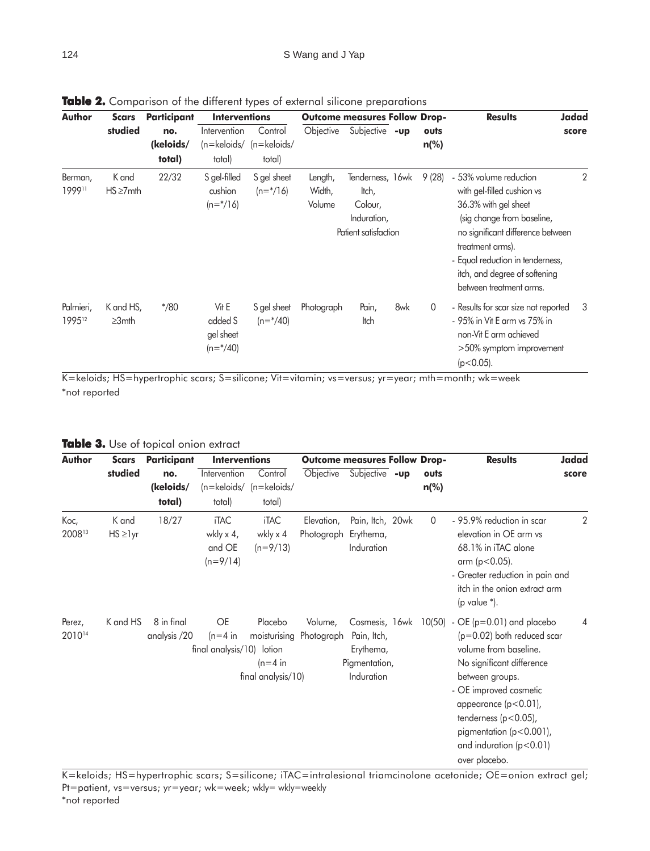| Author                               | Scars                     | Participant                | <b>Interventions</b>                               |                                      |                             | <b>Outcome measures Follow Drop-</b>                                        |     |                 | <b>Results</b>                                                                                                                                                                                                                                                      | <b>Jadad</b> |
|--------------------------------------|---------------------------|----------------------------|----------------------------------------------------|--------------------------------------|-----------------------------|-----------------------------------------------------------------------------|-----|-----------------|---------------------------------------------------------------------------------------------------------------------------------------------------------------------------------------------------------------------------------------------------------------------|--------------|
|                                      | studied                   | no.<br>(keloids/<br>total) | Intervention<br>$(n=$ keloids/<br>total)           | Control<br>$(n=$ keloids/<br>total)  | Objective                   | Subjective -up                                                              |     | outs<br>$n$ (%) |                                                                                                                                                                                                                                                                     | score        |
| Berman,<br>199911                    | K and<br>$HS \ge 7$ mth   | 22/32                      | S gel-filled<br>cushion<br>$(n=\frac{\ast}{16})$   | S gel sheet<br>$(n=\frac{\ast}{16})$ | Length,<br>Width,<br>Volume | Tenderness, 16wk<br>ltch,<br>Colour,<br>Induration,<br>Patient satisfaction |     | 9(28)           | - 53% volume reduction<br>with gel-filled cushion vs<br>36.3% with gel sheet<br>(sig change from baseline,<br>no significant difference between<br>treatment arms).<br>- Equal reduction in tenderness,<br>itch, and degree of softening<br>between treatment arms. | 2            |
| Palmieri,<br>1995 <sup>12</sup><br>. | K and HS,<br>$\geq 3$ mth | $*$ /80                    | Vit E<br>added S<br>gel sheet<br>$(n=\frac{4}{3})$ | S gel sheet<br>$(n=\frac{4}{40})$    | Photograph                  | Pain,<br>ltch                                                               | 8wk | $\overline{0}$  | - Results for scar size not reported<br>- 95% in Vit E arm vs 75% in<br>non-Vit E arm achieved<br>$>50\%$ symptom improvement<br>$(p<0.05)$ .                                                                                                                       | -3           |

**Table 2.** Comparison of the different types of external silicone preparations

K=keloids; HS=hypertrophic scars; S=silicone; Vit=vitamin; vs=versus; yr=year; mth=month; wk=week \*not reported

**Table 3.** Use of topical onion extract

| <b>Author</b>    | Scars                   | Participant                | <b>Interventions</b>                             |                                              | <b>Outcome measures Follow Drop-</b> |                                                                           |                 | <b>Results</b>                                                                                                                                                                                                                                                                                       | <b>Jadad</b> |
|------------------|-------------------------|----------------------------|--------------------------------------------------|----------------------------------------------|--------------------------------------|---------------------------------------------------------------------------|-----------------|------------------------------------------------------------------------------------------------------------------------------------------------------------------------------------------------------------------------------------------------------------------------------------------------------|--------------|
|                  | studied                 | no.<br>(keloids/<br>total) | Intervention<br>total)                           | Control<br>(n=keloids/ (n=keloids/<br>total) | Objective                            | Subjective -up                                                            | outs<br>$n$ (%) |                                                                                                                                                                                                                                                                                                      | score        |
| Koc,<br>200813   | K and<br>$HS \geq 1$ yr | 18/27                      | <b>iTAC</b><br>wkly x 4,<br>and OE<br>$(n=9/14)$ | <b>iTAC</b><br>wkly x 4<br>$(n=9/13)$        | Elevation,<br>Photograph Erythema,   | Pain, Itch, 20wk<br>Induration                                            | $\overline{0}$  | - 95.9% reduction in scar<br>elevation in OE arm vs<br>68.1% in iTAC alone<br>arm ( $p < 0.05$ ).<br>- Greater reduction in pain and<br>itch in the onion extract arm<br>(p value $*$ ).                                                                                                             | 2            |
| Perez,<br>201014 | K and HS                | 8 in final<br>analysis /20 | OE<br>$(n=4)$ in<br>final analysis/10) lotion    | Placebo<br>$(n=4)$ in<br>final analysis/10)  | Volume,<br>moisturising Photograph   | Cosmesis, 16wk<br>Pain, Itch,<br>Erythema,<br>Pigmentation,<br>Induration | 10(50)          | $-$ OE ( $p=0.01$ ) and placebo<br>$(p=0.02)$ both reduced scar<br>volume from baseline.<br>No significant difference<br>between groups.<br>- OE improved cosmetic<br>appearance $(p<0.01)$ ,<br>tenderness ( $p < 0.05$ ),<br>pigmentation (p<0.001),<br>and induration $(p<0.01)$<br>over placebo. | 4            |

K=keloids; HS=hypertrophic scars; S=silicone; iTAC=intralesional triamcinolone acetonide; OE=onion extract gel; Pt=patient, vs=versus; yr=year; wk=week; wkly= wkly=weekly \*not reported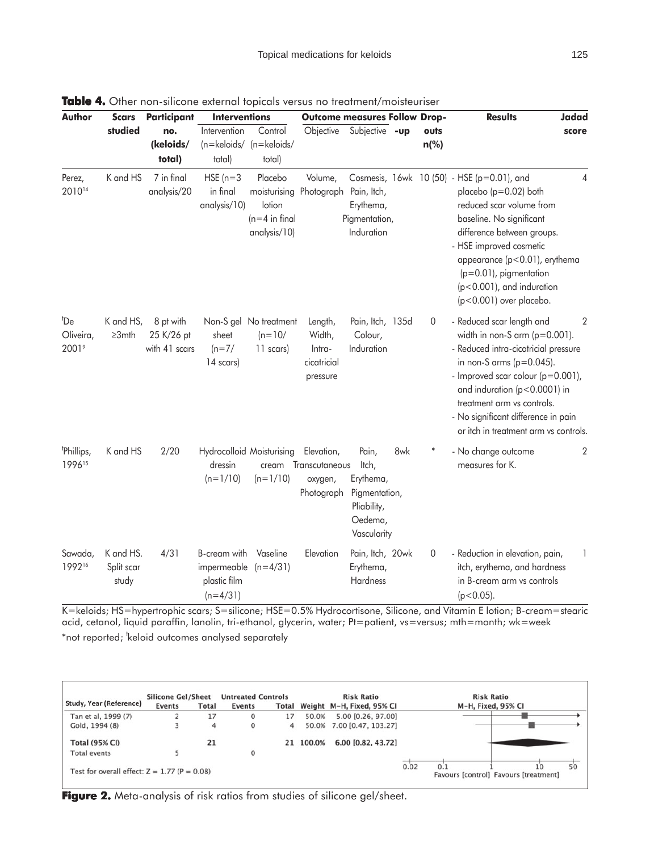| Author                                            | <b>Scars</b>                     | Participant                              | <b>Interventions</b>                                      |                                                                                             | <b>Outcome measures Follow Drop-</b>                   |                                                                                       |     |                        | <b>Results</b><br><b>Jadad</b>                                                                                                                                                                                                                                                                                                |
|---------------------------------------------------|----------------------------------|------------------------------------------|-----------------------------------------------------------|---------------------------------------------------------------------------------------------|--------------------------------------------------------|---------------------------------------------------------------------------------------|-----|------------------------|-------------------------------------------------------------------------------------------------------------------------------------------------------------------------------------------------------------------------------------------------------------------------------------------------------------------------------|
|                                                   | studied                          | no.<br>(keloids/<br>total)               | Intervention<br>total)                                    | Control<br>(n=keloids/ (n=keloids/<br>total)                                                | Objective                                              | Subjective -up                                                                        |     | outs<br>$n\frac{0}{0}$ | score                                                                                                                                                                                                                                                                                                                         |
| Perez,<br>201014                                  | K and HS                         | 7 in final<br>analysis/20                | $HSE(n=3)$<br>in final<br>analysis/10)                    | Placebo<br>moisturising Photograph Pain, Itch,<br>lotion<br>$(n=4$ in final<br>analysis/10) | Volume,                                                | Erythema,<br>Pigmentation,<br>Induration                                              |     |                        | Cosmesis, 16wk 10 (50) - HSE (p=0.01), and<br>4<br>placebo (p=0.02) both<br>reduced scar volume from<br>baseline. No significant<br>difference between groups.<br>- HSE improved cosmetic<br>appearance (p<0.01), erythema<br>$(p=0.01)$ , pigmentation<br>$(p<0.001)$ , and induration<br>(p<0.001) over placebo.            |
| <sup>t</sup> De<br>Oliveira,<br>2001 <sup>9</sup> | K and HS,<br>$\geq 3$ mth        | 8 pt with<br>25 K/26 pt<br>with 41 scars | sheet<br>$(n=7/$<br>14 scars)                             | Non-S gel No treatment<br>$(n=10/$<br>11 scars)                                             | Length,<br>Width,<br>Intra-<br>cicatricial<br>pressure | Pain, Itch, 135d<br>Colour,<br>Induration                                             |     | $\boldsymbol{0}$       | - Reduced scar length and<br>2<br>width in non-S arm $(p=0.001)$ .<br>- Reduced intra-cicatricial pressure<br>in non-S arms ( $p=0.045$ ).<br>- Improved scar colour (p=0.001),<br>and induration (p<0.0001) in<br>treatment arm vs controls.<br>- No significant difference in pain<br>or itch in treatment arm vs controls. |
| <sup>t</sup> Phillips,<br>199615                  | K and HS                         | 2/20                                     | dressin<br>$(n=1/10)$                                     | Hydrocolloid Moisturising<br>cream<br>$(n=1/10)$                                            | Elevation,<br>Transcutaneous<br>oxygen,<br>Photograph  | Pain,<br>ltch,<br>Erythema,<br>Pigmentation,<br>Pliability,<br>Oedema,<br>Vascularity | 8wk |                        | - No change outcome<br>2<br>measures for K.                                                                                                                                                                                                                                                                                   |
| Sawada,<br>199216                                 | K and HS.<br>Split scar<br>study | 4/31                                     | B-cream with<br>impermeable<br>plastic film<br>$(n=4/31)$ | Vaseline<br>$(n=4/31)$                                                                      | Elevation                                              | Pain, Itch, 20wk<br>Erythema,<br>Hardness                                             |     | $\mathbf 0$            | - Reduction in elevation, pain,<br>1<br>itch, erythema, and hardness<br>in B-cream arm vs controls<br>$(p<0.05)$ .                                                                                                                                                                                                            |

**Table 4.** Other non-silicone external topicals versus no treatment/moisteuriser

K=keloids; HS=hypertrophic scars; S=silicone; HSE=0.5% Hydrocortisone, Silicone, and Vitamin E lotion; B-cream=stearic acid, cetanol, liquid paraffin, lanolin, tri-ethanol, glycerin, water; Pt=patient, vs=versus; mth=month; wk=week \*not reported; <sup>t</sup>keloid outcomes analysed separately

| Study, Year (Reference)                        | <b>Silicone Gel/Sheet</b> |              | <b>Untreated Controls</b> |    |           | <b>Risk Ratio</b>               | <b>Risk Ratio</b>                                          |    |
|------------------------------------------------|---------------------------|--------------|---------------------------|----|-----------|---------------------------------|------------------------------------------------------------|----|
|                                                | Events                    | <b>Total</b> | Events                    |    |           | Total Weight M-H, Fixed, 95% CI | M-H, Fixed, 95% CI                                         |    |
| Tan et al, 1999 (7)                            |                           | 17           | $\Omega$                  | 17 | 50.0%     | 5.00 [0.26, 97.00]              |                                                            |    |
| Gold, 1994 (8)                                 |                           | 4            | 0                         | 4  |           | 50.0% 7.00 [0.47, 103.27]       |                                                            |    |
| <b>Total (95% CI)</b>                          |                           | 21           |                           |    | 21 100.0% | 6.00 [0.82, 43.72]              |                                                            |    |
| <b>Total events</b>                            |                           |              |                           |    |           |                                 |                                                            |    |
| Test for overall effect: $Z = 1.77$ (P = 0.08) |                           |              |                           |    |           |                                 | 0.02<br>0.1<br>10<br>Favours [control] Favours [treatment] | 50 |

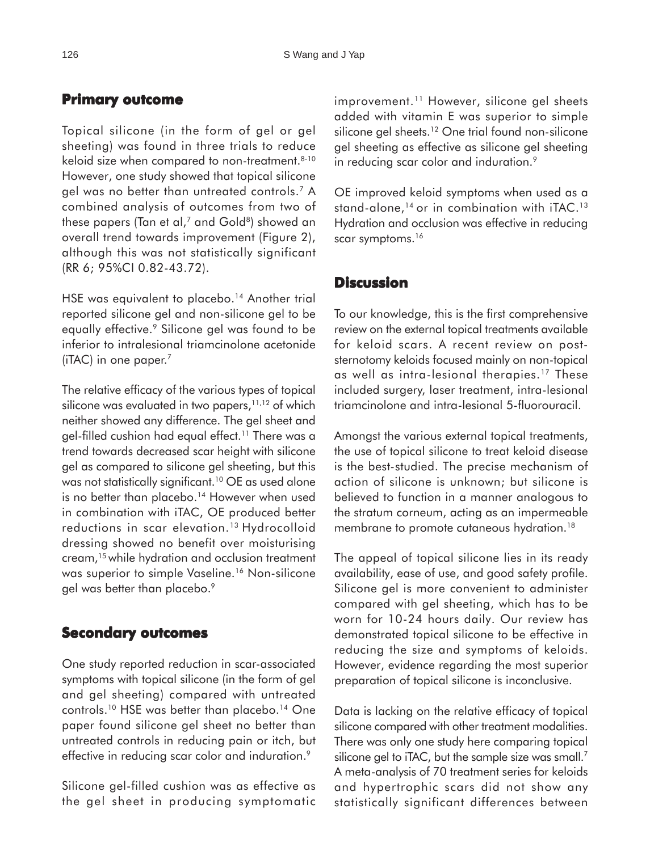# **Primary outcome**

Topical silicone (in the form of gel or gel sheeting) was found in three trials to reduce keloid size when compared to non-treatment.<sup>8-10</sup> However, one study showed that topical silicone gel was no better than untreated controls.7 A combined analysis of outcomes from two of these papers (Tan et al, $^7$  and Gold<sup>8</sup>) showed an overall trend towards improvement (Figure 2), although this was not statistically significant (RR 6; 95%CI 0.82-43.72).

HSE was equivalent to placebo.<sup>14</sup> Another trial reported silicone gel and non-silicone gel to be equally effective.<sup>9</sup> Silicone gel was found to be inferior to intralesional triamcinolone acetonide ( $iTAC$ ) in one paper.<sup>7</sup>

The relative efficacy of the various types of topical silicone was evaluated in two papers,<sup>11,12</sup> of which neither showed any difference. The gel sheet and gel-filled cushion had equal effect.<sup>11</sup> There was a trend towards decreased scar height with silicone gel as compared to silicone gel sheeting, but this was not statistically significant.<sup>10</sup> OE as used alone is no better than placebo.<sup>14</sup> However when used in combination with iTAC, OE produced better reductions in scar elevation.<sup>13</sup> Hydrocolloid dressing showed no benefit over moisturising cream,15 while hydration and occlusion treatment was superior to simple Vaseline.<sup>16</sup> Non-silicone gel was better than placebo.<sup>9</sup>

# **Secondary outcomes**

One study reported reduction in scar-associated symptoms with topical silicone (in the form of gel and gel sheeting) compared with untreated controls.<sup>10</sup> HSE was better than placebo.<sup>14</sup> One paper found silicone gel sheet no better than untreated controls in reducing pain or itch, but effective in reducing scar color and induration.<sup>9</sup>

Silicone gel-filled cushion was as effective as the gel sheet in producing symptomatic improvement.<sup>11</sup> However, silicone gel sheets added with vitamin E was superior to simple silicone gel sheets.<sup>12</sup> One trial found non-silicone gel sheeting as effective as silicone gel sheeting in reducing scar color and induration.<sup>9</sup>

OE improved keloid symptoms when used as a stand-alone,<sup>14</sup> or in combination with iTAC.<sup>13</sup> Hydration and occlusion was effective in reducing scar symptoms.<sup>16</sup>

# **Discussion**

To our knowledge, this is the first comprehensive review on the external topical treatments available for keloid scars. A recent review on poststernotomy keloids focused mainly on non-topical as well as intra-lesional therapies.17 These included surgery, laser treatment, intra-lesional triamcinolone and intra-lesional 5-fluorouracil.

Amongst the various external topical treatments, the use of topical silicone to treat keloid disease is the best-studied. The precise mechanism of action of silicone is unknown; but silicone is believed to function in a manner analogous to the stratum corneum, acting as an impermeable membrane to promote cutaneous hydration.<sup>18</sup>

The appeal of topical silicone lies in its ready availability, ease of use, and good safety profile. Silicone gel is more convenient to administer compared with gel sheeting, which has to be worn for 10-24 hours daily. Our review has demonstrated topical silicone to be effective in reducing the size and symptoms of keloids. However, evidence regarding the most superior preparation of topical silicone is inconclusive.

Data is lacking on the relative efficacy of topical silicone compared with other treatment modalities. There was only one study here comparing topical silicone gel to iTAC, but the sample size was small.<sup>7</sup> A meta-analysis of 70 treatment series for keloids and hypertrophic scars did not show any statistically significant differences between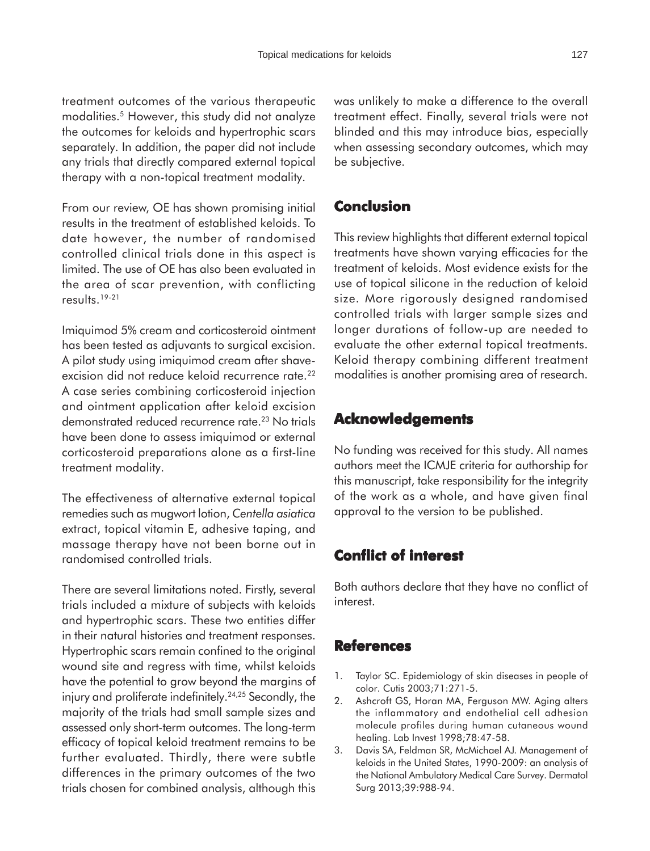treatment outcomes of the various therapeutic modalities.5 However, this study did not analyze the outcomes for keloids and hypertrophic scars separately. In addition, the paper did not include any trials that directly compared external topical therapy with a non-topical treatment modality.

From our review, OE has shown promising initial results in the treatment of established keloids. To date however, the number of randomised controlled clinical trials done in this aspect is limited. The use of OE has also been evaluated in the area of scar prevention, with conflicting results.19-21

Imiquimod 5% cream and corticosteroid ointment has been tested as adjuvants to surgical excision. A pilot study using imiquimod cream after shaveexcision did not reduce keloid recurrence rate.<sup>22</sup> A case series combining corticosteroid injection and ointment application after keloid excision demonstrated reduced recurrence rate.<sup>23</sup> No trials have been done to assess imiquimod or external corticosteroid preparations alone as a first-line treatment modality.

The effectiveness of alternative external topical remedies such as mugwort lotion, *Centella asiatica* extract, topical vitamin E, adhesive taping, and massage therapy have not been borne out in randomised controlled trials.

There are several limitations noted. Firstly, several trials included a mixture of subjects with keloids and hypertrophic scars. These two entities differ in their natural histories and treatment responses. Hypertrophic scars remain confined to the original wound site and regress with time, whilst keloids have the potential to grow beyond the margins of injury and proliferate indefinitely.<sup>24,25</sup> Secondly, the majority of the trials had small sample sizes and assessed only short-term outcomes. The long-term efficacy of topical keloid treatment remains to be further evaluated. Thirdly, there were subtle differences in the primary outcomes of the two trials chosen for combined analysis, although this

was unlikely to make a difference to the overall treatment effect. Finally, several trials were not blinded and this may introduce bias, especially when assessing secondary outcomes, which may be subjective.

## **Conclusion**

This review highlights that different external topical treatments have shown varying efficacies for the treatment of keloids. Most evidence exists for the use of topical silicone in the reduction of keloid size. More rigorously designed randomised controlled trials with larger sample sizes and longer durations of follow-up are needed to evaluate the other external topical treatments. Keloid therapy combining different treatment modalities is another promising area of research.

### **Acknowledgements**

No funding was received for this study. All names authors meet the ICMJE criteria for authorship for this manuscript, take responsibility for the integrity of the work as a whole, and have given final approval to the version to be published.

## **Conflict of interest interest**

Both authors declare that they have no conflict of interest.

## **References**

- 1. Taylor SC. Epidemiology of skin diseases in people of color. Cutis 2003;71:271-5.
- 2. Ashcroft GS, Horan MA, Ferguson MW. Aging alters the inflammatory and endothelial cell adhesion molecule profiles during human cutaneous wound healing. Lab Invest 1998;78:47-58.
- 3. Davis SA, Feldman SR, McMichael AJ. Management of keloids in the United States, 1990-2009: an analysis of the National Ambulatory Medical Care Survey. Dermatol Surg 2013;39:988-94.